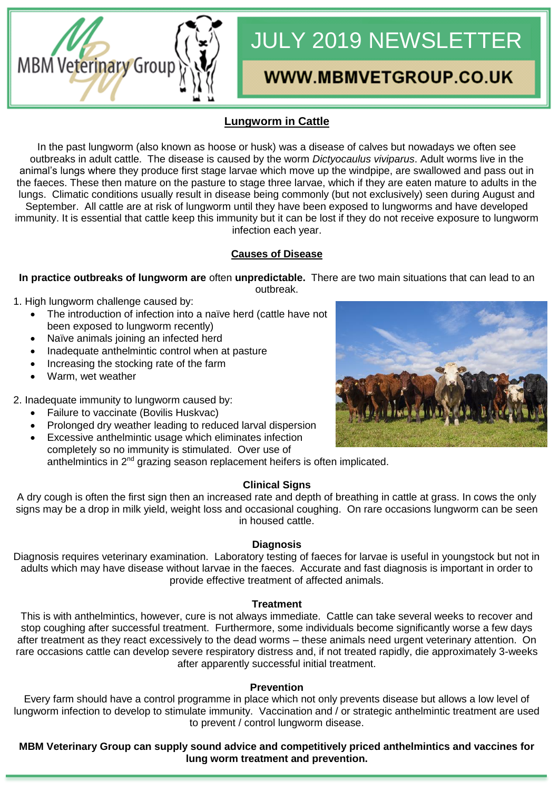# JULY 2019 NEWSLETTER

# **WWW.MBMVETGROUP.CO.UK**

# **Lungworm in Cattle**

In the past lungworm (also known as hoose or husk) was a disease of calves but nowadays we often see outbreaks in adult cattle. The disease is caused by the worm *Dictyocaulus viviparus*. Adult worms live in the animal's lungs where they produce first stage larvae which move up the windpipe, are swallowed and pass out in the faeces. These then mature on the pasture to stage three larvae, which if they are eaten mature to adults in the lungs. Climatic conditions usually result in disease being commonly (but not exclusively) seen during August and September. All cattle are at risk of lungworm until they have been exposed to lungworms and have developed immunity. It is essential that cattle keep this immunity but it can be lost if they do not receive exposure to lungworm infection each year.

# **Causes of Disease**

**In practice outbreaks of lungworm are** often **unpredictable.** There are two main situations that can lead to an outbreak.

1. High lungworm challenge caused by:

MBM Veterinary Group

- The introduction of infection into a naïve herd (cattle have not been exposed to lungworm recently)
- Naïve animals joining an infected herd
- Inadequate anthelmintic control when at pasture
- Increasing the stocking rate of the farm
- Warm, wet weather

2. Inadequate immunity to lungworm caused by:

- Failure to vaccinate (Bovilis Huskvac)
- Prolonged dry weather leading to reduced larval dispersion
- Excessive anthelmintic usage which eliminates infection completely so no immunity is stimulated. Over use of anthelmintics in  $2<sup>nd</sup>$  grazing season replacement heifers is often implicated.

#### **Clinical Signs**

A dry cough is often the first sign then an increased rate and depth of breathing in cattle at grass. In cows the only signs may be a drop in milk yield, weight loss and occasional coughing. On rare occasions lungworm can be seen in housed cattle.

#### **Diagnosis**

Diagnosis requires veterinary examination. Laboratory testing of faeces for larvae is useful in youngstock but not in adults which may have disease without larvae in the faeces. Accurate and fast diagnosis is important in order to provide effective treatment of affected animals.

#### **Treatment**

This is with anthelmintics, however, cure is not always immediate. Cattle can take several weeks to recover and stop coughing after successful treatment. Furthermore, some individuals become significantly worse a few days after treatment as they react excessively to the dead worms – these animals need urgent veterinary attention. On rare occasions cattle can develop severe respiratory distress and, if not treated rapidly, die approximately 3-weeks after apparently successful initial treatment.

#### **Prevention**

Every farm should have a control programme in place which not only prevents disease but allows a low level of lungworm infection to develop to stimulate immunity. Vaccination and / or strategic anthelmintic treatment are used to prevent / control lungworm disease.

**MBM Veterinary Group can supply sound advice and competitively priced anthelmintics and vaccines for lung worm treatment and prevention.**